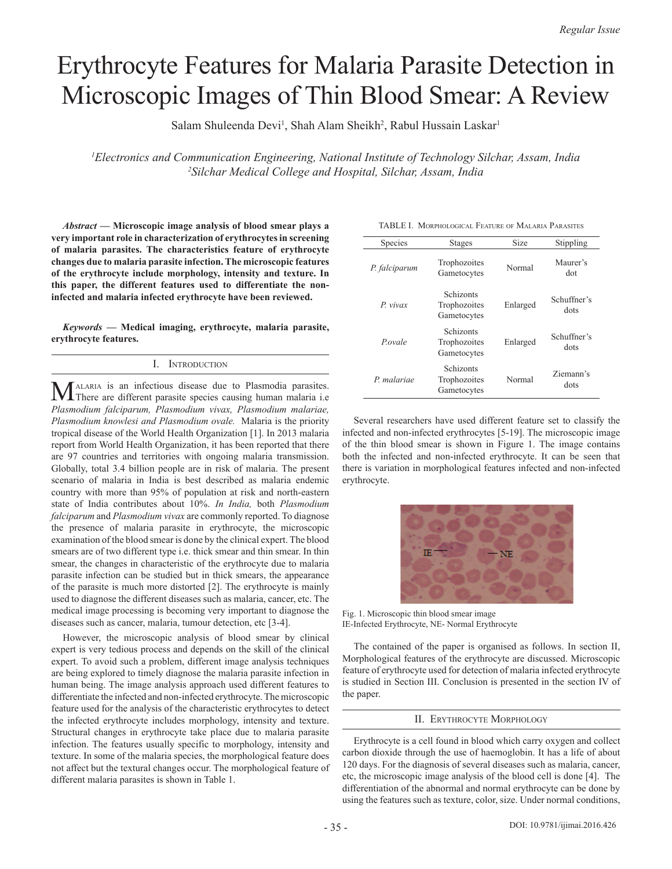## Erythrocyte Features for Malaria Parasite Detection in Microscopic Images of Thin Blood Smear: A Review

Salam Shuleenda Devi<sup>1</sup>, Shah Alam Sheikh<sup>2</sup>, Rabul Hussain Laskar<sup>1</sup>

*1 Electronics and Communication Engineering, National Institute of Technology Silchar, Assam, India 2 Silchar Medical College and Hospital, Silchar, Assam, India*

*Abstract* **— Microscopic image analysis of blood smear plays a very important role in characterization of erythrocytes in screening of malaria parasites. The characteristics feature of erythrocyte changes due to malaria parasite infection. The microscopic features of the erythrocyte include morphology, intensity and texture. In this paper, the different features used to differentiate the noninfected and malaria infected erythrocyte have been reviewed.** 

*Keywords* **— Medical imaging, erythrocyte, malaria parasite, erythrocyte features.**

## I. Introduction

MALARIA is an infectious disease due to Plasmodia parasites.<br>There are different parasite species causing human malaria i.e *Plasmodium falciparum, Plasmodium vivax, Plasmodium malariae, Plasmodium knowlesi and Plasmodium ovale.* Malaria is the priority tropical disease of the World Health Organization [1]. In 2013 malaria report from World Health Organization, it has been reported that there are 97 countries and territories with ongoing malaria transmission. Globally, total 3.4 billion people are in risk of malaria. The present scenario of malaria in India is best described as malaria endemic country with more than 95% of population at risk and north-eastern state of India contributes about 10%. *In India,* both *Plasmodium falciparum* and *Plasmodium vivax* are commonly reported. To diagnose the presence of malaria parasite in erythrocyte, the microscopic examination of the blood smear is done by the clinical expert. The blood smears are of two different type i.e. thick smear and thin smear. In thin smear, the changes in characteristic of the erythrocyte due to malaria parasite infection can be studied but in thick smears, the appearance of the parasite is much more distorted [2]. The erythrocyte is mainly used to diagnose the different diseases such as malaria, cancer, etc. The medical image processing is becoming very important to diagnose the diseases such as cancer, malaria, tumour detection, etc [3-4].

However, the microscopic analysis of blood smear by clinical expert is very tedious process and depends on the skill of the clinical expert. To avoid such a problem, different image analysis techniques are being explored to timely diagnose the malaria parasite infection in human being. The image analysis approach used different features to differentiate the infected and non-infected erythrocyte. The microscopic feature used for the analysis of the characteristic erythrocytes to detect the infected erythrocyte includes morphology, intensity and texture. Structural changes in erythrocyte take place due to malaria parasite infection. The features usually specific to morphology, intensity and texture. In some of the malaria species, the morphological feature does not affect but the textural changes occur. The morphological feature of different malaria parasites is shown in Table 1.

| TABLE I. MORPHOLOGICAL FEATURE OF MALARIA PARASITES |  |
|-----------------------------------------------------|--|
|-----------------------------------------------------|--|

| Species       | Stages                                   | Size     | Stippling           |
|---------------|------------------------------------------|----------|---------------------|
| P. falciparum | Trophozoites<br>Gametocytes              | Normal   | Maurer's<br>dot     |
| $P$ vivax     | Schizonts<br>Trophozoites<br>Gametocytes | Enlarged | Schuffner's<br>dots |
| Povale        | Schizonts<br>Trophozoites<br>Gametocytes | Enlarged | Schuffner's<br>dots |
| P malariae    | Schizonts<br>Trophozoites<br>Gametocytes | Normal   | Ziemann's<br>dots   |

Several researchers have used different feature set to classify the infected and non-infected erythrocytes [5-19]. The microscopic image of the thin blood smear is shown in Figure 1. The image contains both the infected and non-infected erythrocyte. It can be seen that there is variation in morphological features infected and non-infected erythrocyte.



Fig. 1. Microscopic thin blood smear image IE-Infected Erythrocyte, NE- Normal Erythrocyte

The contained of the paper is organised as follows. In section II, Morphological features of the erythrocyte are discussed. Microscopic feature of erythrocyte used for detection of malaria infected erythrocyte is studied in Section III. Conclusion is presented in the section IV of the paper.

## II. Erythrocyte Morphology

Erythrocyte is a cell found in blood which carry oxygen and collect carbon dioxide through the use of haemoglobin. It has a life of about 120 days. For the diagnosis of several diseases such as malaria, cancer, etc, the microscopic image analysis of the blood cell is done [4]. The differentiation of the abnormal and normal erythrocyte can be done by using the features such as texture, color, size. Under normal conditions,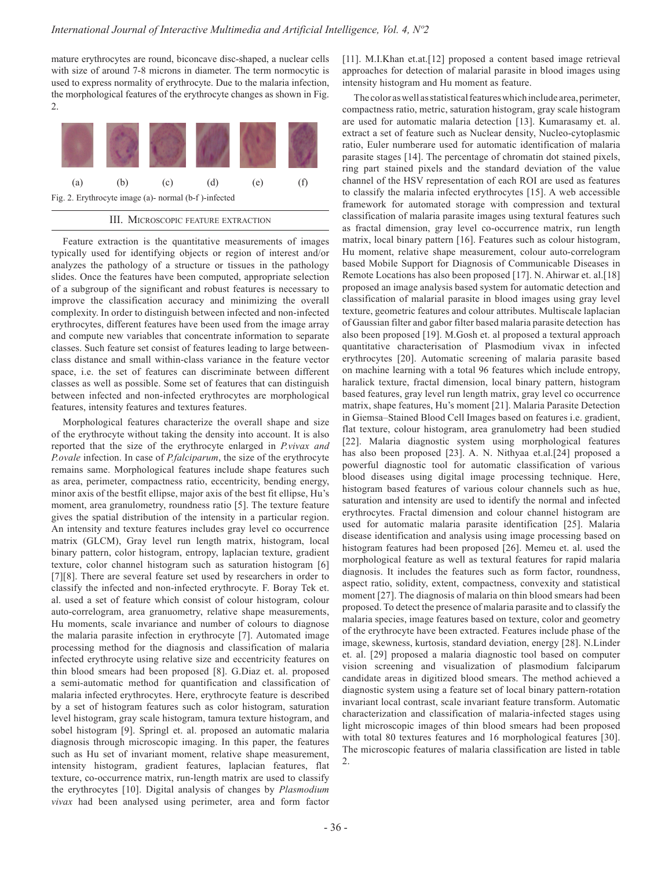mature erythrocytes are round, biconcave disc-shaped, a nuclear cells with size of around 7-8 microns in diameter. The term normocytic is used to express normality of erythrocyte. Due to the malaria infection, the morphological features of the erythrocyte changes as shown in Fig. 2.



## III. Microscopic feature extraction

Feature extraction is the quantitative measurements of images typically used for identifying objects or region of interest and/or analyzes the pathology of a structure or tissues in the pathology slides. Once the features have been computed, appropriate selection of a subgroup of the significant and robust features is necessary to improve the classification accuracy and minimizing the overall complexity. In order to distinguish between infected and non-infected erythrocytes, different features have been used from the image array and compute new variables that concentrate information to separate classes. Such feature set consist of features leading to large betweenclass distance and small within-class variance in the feature vector space, i.e. the set of features can discriminate between different classes as well as possible. Some set of features that can distinguish between infected and non-infected erythrocytes are morphological features, intensity features and textures features.

Morphological features characterize the overall shape and size of the erythrocyte without taking the density into account. It is also reported that the size of the erythrocyte enlarged in *P.vivax and P.ovale* infection. In case of *P.falciparum*, the size of the erythrocyte remains same. Morphological features include shape features such as area, perimeter, compactness ratio, eccentricity, bending energy, minor axis of the bestfit ellipse, major axis of the best fit ellipse, Hu's moment, area granulometry, roundness ratio [5]. The texture feature gives the spatial distribution of the intensity in a particular region. An intensity and texture features includes gray level co occurrence matrix (GLCM), Gray level run length matrix, histogram, local binary pattern, color histogram, entropy, laplacian texture, gradient texture, color channel histogram such as saturation histogram [6] [7][8]. There are several feature set used by researchers in order to classify the infected and non-infected erythrocyte. F. Boray Tek et. al. used a set of feature which consist of colour histogram, colour auto-correlogram, area granuometry, relative shape measurements, Hu moments, scale invariance and number of colours to diagnose the malaria parasite infection in erythrocyte [7]. Automated image processing method for the diagnosis and classification of malaria infected erythrocyte using relative size and eccentricity features on thin blood smears had been proposed [8]. G.Diaz et. al. proposed a semi-automatic method for quantification and classification of malaria infected erythrocytes. Here, erythrocyte feature is described by a set of histogram features such as color histogram, saturation level histogram, gray scale histogram, tamura texture histogram, and sobel histogram [9]. Springl et. al. proposed an automatic malaria diagnosis through microscopic imaging. In this paper, the features such as Hu set of invariant moment, relative shape measurement, intensity histogram, gradient features, laplacian features, flat texture, co-occurrence matrix, run-length matrix are used to classify the erythrocytes [10]. Digital analysis of changes by *Plasmodium vivax* had been analysed using perimeter, area and form factor

[11]. M.I.Khan et.at.[12] proposed a content based image retrieval approaches for detection of malarial parasite in blood images using intensity histogram and Hu moment as feature.

The color as well as statistical features which include area, perimeter, compactness ratio, metric, saturation histogram, gray scale histogram are used for automatic malaria detection [13]. Kumarasamy et. al. extract a set of feature such as Nuclear density, Nucleo-cytoplasmic ratio, Euler numberare used for automatic identification of malaria parasite stages [14]. The percentage of chromatin dot stained pixels, ring part stained pixels and the standard deviation of the value channel of the HSV representation of each ROI are used as features to classify the malaria infected erythrocytes [15]. A web accessible framework for automated storage with compression and textural classification of malaria parasite images using textural features such as fractal dimension, gray level co-occurrence matrix, run length matrix, local binary pattern [16]. Features such as colour histogram, Hu moment, relative shape measurement, colour auto-correlogram based Mobile Support for Diagnosis of Communicable Diseases in Remote Locations has also been proposed [17]. N. Ahirwar et. al.[18] proposed an image analysis based system for automatic detection and classification of malarial parasite in blood images using gray level texture, geometric features and colour attributes. Multiscale laplacian of Gaussian filter and gabor filter based malaria parasite detection has also been proposed [19]. M.Gosh et. al proposed a textural approach quantitative characterisation of Plasmodium vivax in infected erythrocytes [20]. Automatic screening of malaria parasite based on machine learning with a total 96 features which include entropy, haralick texture, fractal dimension, local binary pattern, histogram based features, gray level run length matrix, gray level co occurrence matrix, shape features, Hu's moment [21]. Malaria Parasite Detection in Giemsa–Stained Blood Cell Images based on features i.e. gradient, flat texture, colour histogram, area granulometry had been studied [22]. Malaria diagnostic system using morphological features has also been proposed [23]. A. N. Nithyaa et.al.[24] proposed a powerful diagnostic tool for automatic classification of various blood diseases using digital image processing technique. Here, histogram based features of various colour channels such as hue, saturation and intensity are used to identify the normal and infected erythrocytes. Fractal dimension and colour channel histogram are used for automatic malaria parasite identification [25]. Malaria disease identification and analysis using image processing based on histogram features had been proposed [26]. Memeu et. al. used the morphological feature as well as textural features for rapid malaria diagnosis. It includes the features such as form factor, roundness, aspect ratio, solidity, extent, compactness, convexity and statistical moment [27]. The diagnosis of malaria on thin blood smears had been proposed. To detect the presence of malaria parasite and to classify the malaria species, image features based on texture, color and geometry of the erythrocyte have been extracted. Features include phase of the image, skewness, kurtosis, standard deviation, energy [28]. N.Linder et. al. [29] proposed a malaria diagnostic tool based on computer vision screening and visualization of plasmodium falciparum candidate areas in digitized blood smears. The method achieved a diagnostic system using a feature set of local binary pattern-rotation invariant local contrast, scale invariant feature transform. Automatic characterization and classification of malaria-infected stages using light microscopic images of thin blood smears had been proposed with total 80 textures features and 16 morphological features [30]. The microscopic features of malaria classification are listed in table 2.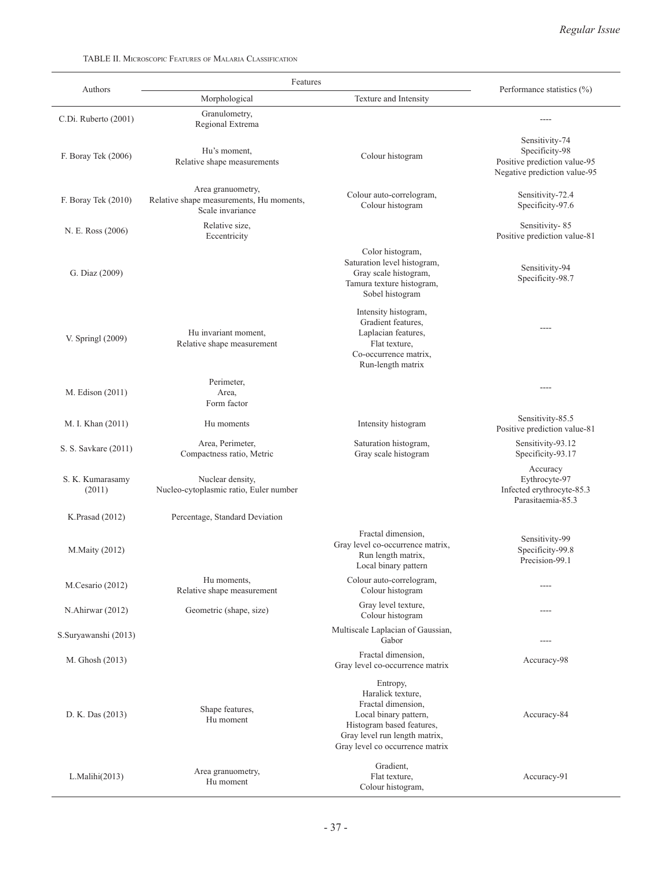TABLE II. Microscopic Features of Malaria Classification

|                            | Features                                                                          |                                                                                                                                                                               |                                                                                                  |
|----------------------------|-----------------------------------------------------------------------------------|-------------------------------------------------------------------------------------------------------------------------------------------------------------------------------|--------------------------------------------------------------------------------------------------|
| Authors                    | Morphological                                                                     | Texture and Intensity                                                                                                                                                         | Performance statistics (%)                                                                       |
| C.Di. Ruberto (2001)       | Granulometry,<br>Regional Extrema                                                 |                                                                                                                                                                               |                                                                                                  |
| F. Boray Tek (2006)        | Hu's moment,<br>Relative shape measurements                                       | Colour histogram                                                                                                                                                              | Sensitivity-74<br>Specificity-98<br>Positive prediction value-95<br>Negative prediction value-95 |
| F. Boray Tek (2010)        | Area granuometry,<br>Relative shape measurements, Hu moments,<br>Scale invariance | Colour auto-correlogram,<br>Colour histogram                                                                                                                                  | Sensitivity-72.4<br>Specificity-97.6                                                             |
| N. E. Ross (2006)          | Relative size.<br>Eccentricity                                                    |                                                                                                                                                                               | Sensitivity-85<br>Positive prediction value-81                                                   |
| G. Diaz (2009)             |                                                                                   | Color histogram,<br>Saturation level histogram,<br>Gray scale histogram,<br>Tamura texture histogram,<br>Sobel histogram                                                      | Sensitivity-94<br>Specificity-98.7                                                               |
| V. Springl (2009)          | Hu invariant moment,<br>Relative shape measurement                                | Intensity histogram,<br>Gradient features.<br>Laplacian features,<br>Flat texture,<br>Co-occurrence matrix,<br>Run-length matrix                                              |                                                                                                  |
| M. Edison (2011)           | Perimeter,<br>Area,<br>Form factor                                                |                                                                                                                                                                               |                                                                                                  |
| M. I. Khan (2011)          | Hu moments                                                                        | Intensity histogram                                                                                                                                                           | Sensitivity-85.5<br>Positive prediction value-81                                                 |
| S. S. Savkare (2011)       | Area, Perimeter,<br>Compactness ratio, Metric                                     | Saturation histogram,<br>Gray scale histogram                                                                                                                                 | Sensitivity-93.12<br>Specificity-93.17                                                           |
| S. K. Kumarasamy<br>(2011) | Nuclear density,<br>Nucleo-cytoplasmic ratio, Euler number                        |                                                                                                                                                                               | Accuracy<br>Eythrocyte-97<br>Infected erythrocyte-85.3<br>Parasitaemia-85.3                      |
| K.Prasad (2012)            | Percentage, Standard Deviation                                                    |                                                                                                                                                                               |                                                                                                  |
| M.Maity (2012)             |                                                                                   | Fractal dimension,<br>Gray level co-occurrence matrix,<br>Run length matrix,<br>Local binary pattern                                                                          | Sensitivity-99<br>Specificity-99.8<br>Precision-99.1                                             |
| M.Cesario (2012)           | Hu moments,<br>Relative shape measurement                                         | Colour auto-correlogram,<br>Colour histogram                                                                                                                                  | $---$                                                                                            |
| N.Ahirwar (2012)           | Geometric (shape, size)                                                           | Gray level texture,<br>Colour histogram                                                                                                                                       | ----                                                                                             |
| S.Suryawanshi (2013)       |                                                                                   | Multiscale Laplacian of Gaussian,<br>Gabor                                                                                                                                    | $---$                                                                                            |
| M. Ghosh (2013)            |                                                                                   | Fractal dimension.<br>Gray level co-occurrence matrix                                                                                                                         | Accuracy-98                                                                                      |
| D. K. Das (2013)           | Shape features,<br>Hu moment                                                      | Entropy,<br>Haralick texture,<br>Fractal dimension,<br>Local binary pattern,<br>Histogram based features,<br>Gray level run length matrix,<br>Gray level co occurrence matrix | Accuracy-84                                                                                      |
| L.Malihi(2013)             | Area granuometry,<br>Hu moment                                                    | Gradient,<br>Flat texture,<br>Colour histogram,                                                                                                                               | Accuracy-91                                                                                      |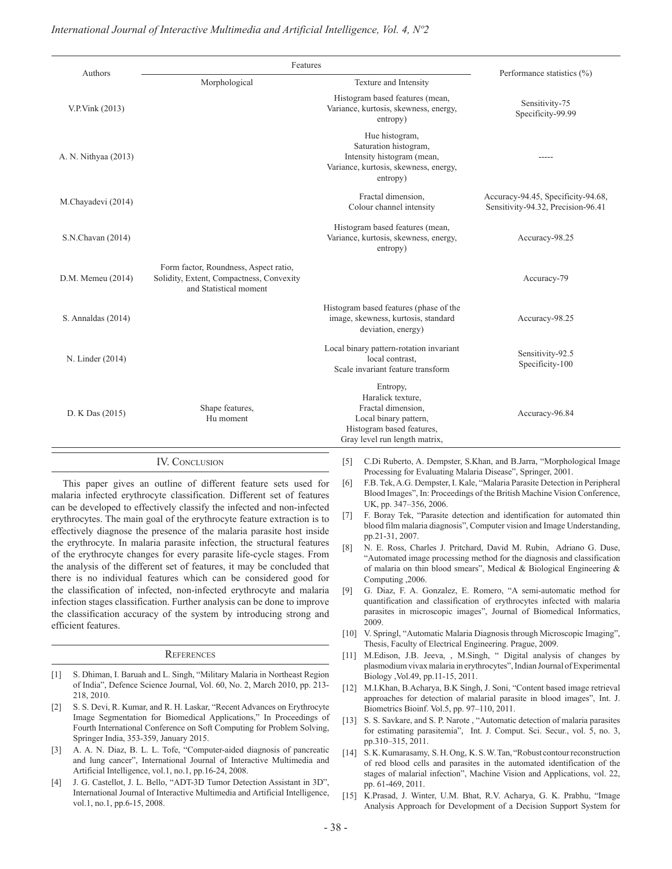|                                                                                                                                                                                                                                                                                                                                                                                                                                                           |                      | Features                                                                                                                                                                                                                                                                                              |              |                                                                                                                                                                                                                                                                                                                                                                                                                                                                                                                                                                                                                                                                                  |                                                                                                                                                                                                                                                                                                                 |  |
|-----------------------------------------------------------------------------------------------------------------------------------------------------------------------------------------------------------------------------------------------------------------------------------------------------------------------------------------------------------------------------------------------------------------------------------------------------------|----------------------|-------------------------------------------------------------------------------------------------------------------------------------------------------------------------------------------------------------------------------------------------------------------------------------------------------|--------------|----------------------------------------------------------------------------------------------------------------------------------------------------------------------------------------------------------------------------------------------------------------------------------------------------------------------------------------------------------------------------------------------------------------------------------------------------------------------------------------------------------------------------------------------------------------------------------------------------------------------------------------------------------------------------------|-----------------------------------------------------------------------------------------------------------------------------------------------------------------------------------------------------------------------------------------------------------------------------------------------------------------|--|
|                                                                                                                                                                                                                                                                                                                                                                                                                                                           | Authors              | Morphological                                                                                                                                                                                                                                                                                         |              | Texture and Intensity                                                                                                                                                                                                                                                                                                                                                                                                                                                                                                                                                                                                                                                            | Performance statistics (%)                                                                                                                                                                                                                                                                                      |  |
|                                                                                                                                                                                                                                                                                                                                                                                                                                                           | V.P.Vink (2013)      |                                                                                                                                                                                                                                                                                                       |              | Histogram based features (mean,<br>Variance, kurtosis, skewness, energy,<br>entropy)                                                                                                                                                                                                                                                                                                                                                                                                                                                                                                                                                                                             | Sensitivity-75<br>Specificity-99.99                                                                                                                                                                                                                                                                             |  |
|                                                                                                                                                                                                                                                                                                                                                                                                                                                           | A. N. Nithyaa (2013) |                                                                                                                                                                                                                                                                                                       |              | Hue histogram,<br>Saturation histogram,<br>Intensity histogram (mean,<br>Variance, kurtosis, skewness, energy,<br>entropy)                                                                                                                                                                                                                                                                                                                                                                                                                                                                                                                                                       |                                                                                                                                                                                                                                                                                                                 |  |
|                                                                                                                                                                                                                                                                                                                                                                                                                                                           | M.Chayadevi (2014)   |                                                                                                                                                                                                                                                                                                       |              | Fractal dimension,<br>Colour channel intensity                                                                                                                                                                                                                                                                                                                                                                                                                                                                                                                                                                                                                                   | Accuracy-94.45, Specificity-94.68,<br>Sensitivity-94.32, Precision-96.41                                                                                                                                                                                                                                        |  |
|                                                                                                                                                                                                                                                                                                                                                                                                                                                           | S.N.Chavan (2014)    |                                                                                                                                                                                                                                                                                                       |              | Histogram based features (mean,<br>Variance, kurtosis, skewness, energy,<br>entropy)                                                                                                                                                                                                                                                                                                                                                                                                                                                                                                                                                                                             | Accuracy-98.25                                                                                                                                                                                                                                                                                                  |  |
|                                                                                                                                                                                                                                                                                                                                                                                                                                                           | D.M. Memeu (2014)    | Form factor, Roundness, Aspect ratio,<br>Solidity, Extent, Compactness, Convexity<br>and Statistical moment                                                                                                                                                                                           |              |                                                                                                                                                                                                                                                                                                                                                                                                                                                                                                                                                                                                                                                                                  | Accuracy-79                                                                                                                                                                                                                                                                                                     |  |
|                                                                                                                                                                                                                                                                                                                                                                                                                                                           | S. Annaldas (2014)   |                                                                                                                                                                                                                                                                                                       |              | Histogram based features (phase of the<br>image, skewness, kurtosis, standard<br>deviation, energy)                                                                                                                                                                                                                                                                                                                                                                                                                                                                                                                                                                              | Accuracy-98.25                                                                                                                                                                                                                                                                                                  |  |
|                                                                                                                                                                                                                                                                                                                                                                                                                                                           | N. Linder (2014)     |                                                                                                                                                                                                                                                                                                       |              | Local binary pattern-rotation invariant<br>local contrast.<br>Scale invariant feature transform                                                                                                                                                                                                                                                                                                                                                                                                                                                                                                                                                                                  | Sensitivity-92.5<br>Specificity-100                                                                                                                                                                                                                                                                             |  |
|                                                                                                                                                                                                                                                                                                                                                                                                                                                           | D. K Das (2015)      | Shape features,<br>Hu moment                                                                                                                                                                                                                                                                          |              | Entropy,<br>Haralick texture.<br>Fractal dimension,<br>Local binary pattern,<br>Histogram based features,<br>Gray level run length matrix,                                                                                                                                                                                                                                                                                                                                                                                                                                                                                                                                       | Accuracy-96.84                                                                                                                                                                                                                                                                                                  |  |
|                                                                                                                                                                                                                                                                                                                                                                                                                                                           |                      | <b>IV. CONCLUSION</b><br>This paper gives an outline of different feature sets used for<br>malaria infected erythrocyte classification. Different set of features                                                                                                                                     | $[5]$<br>[6] | Processing for Evaluating Malaria Disease", Springer, 2001.                                                                                                                                                                                                                                                                                                                                                                                                                                                                                                                                                                                                                      | C.Di Ruberto, A. Dempster, S.Khan, and B.Jarra, "Morphological Image<br>F.B. Tek, A.G. Dempster, I. Kale, "Malaria Parasite Detection in Peripheral<br>Blood Images", In: Proceedings of the British Machine Vision Conference,                                                                                 |  |
| can be developed to effectively classify the infected and non-infected<br>erythrocytes. The main goal of the erythrocyte feature extraction is to<br>effectively diagnose the presence of the malaria parasite host inside<br>the erythrocyte. In malaria parasite infection, the structural features<br>of the erythrocyte changes for every parasite life-cycle stages. From<br>the analysis of the different set of features, it may be concluded that |                      |                                                                                                                                                                                                                                                                                                       | $[7]$<br>[8] | UK, pp. 347-356, 2006.<br>F. Boray Tek, "Parasite detection and identification for automated thin<br>blood film malaria diagnosis", Computer vision and Image Understanding,<br>pp.21-31, 2007.<br>N. E. Ross, Charles J. Pritchard, David M. Rubin, Adriano G. Duse,<br>"Automated image processing method for the diagnosis and classification<br>of malaria on thin blood smears", Medical & Biological Engineering $\&$<br>Computing , 2006.<br>G. Diaz, F. A. Gonzalez, E. Romero, "A semi-automatic method for<br>quantification and classification of erythrocytes infected with malaria<br>parasites in microscopic images", Journal of Biomedical Informatics,<br>2009. |                                                                                                                                                                                                                                                                                                                 |  |
| there is no individual features which can be considered good for<br>the classification of infected, non-infected erythrocyte and malaria<br>infection stages classification. Further analysis can be done to improve<br>the classification accuracy of the system by introducing strong and<br>efficient features.                                                                                                                                        |                      | [9]                                                                                                                                                                                                                                                                                                   |              |                                                                                                                                                                                                                                                                                                                                                                                                                                                                                                                                                                                                                                                                                  |                                                                                                                                                                                                                                                                                                                 |  |
|                                                                                                                                                                                                                                                                                                                                                                                                                                                           |                      |                                                                                                                                                                                                                                                                                                       |              |                                                                                                                                                                                                                                                                                                                                                                                                                                                                                                                                                                                                                                                                                  | [10] V. Springl, "Automatic Malaria Diagnosis through Microscopic Imaging".                                                                                                                                                                                                                                     |  |
| <b>REFERENCES</b>                                                                                                                                                                                                                                                                                                                                                                                                                                         |                      |                                                                                                                                                                                                                                                                                                       | [11]         | Thesis, Faculty of Electrical Engineering. Prague, 2009.                                                                                                                                                                                                                                                                                                                                                                                                                                                                                                                                                                                                                         | M.Edison, J.B. Jeeva, , M.Singh, " Digital analysis of changes by                                                                                                                                                                                                                                               |  |
| $[1] % \includegraphics[width=0.9\columnwidth]{figures/fig_10.pdf} \caption{The figure shows the number of times of the estimators in the left and right.} \label{fig:fig:time}$<br>$\lceil 2 \rceil$                                                                                                                                                                                                                                                     | 218, 2010.           | S. Dhiman, I. Baruah and L. Singh, "Military Malaria in Northeast Region<br>of India", Defence Science Journal, Vol. 60, No. 2, March 2010, pp. 213-<br>S. S. Devi, R. Kumar, and R. H. Laskar, "Recent Advances on Erythrocyte<br>Image Segmentation for Biomedical Applications," In Proceedings of | 12           | Biology , Vol.49, pp.11-15, 2011.<br>Biometrics Bioinf. Vol.5, pp. 97–110, 2011.                                                                                                                                                                                                                                                                                                                                                                                                                                                                                                                                                                                                 | plasmodium vivax malaria in erythrocytes", Indian Journal of Experimental<br>M.I.Khan, B.Acharya, B.K Singh, J. Soni, "Content based image retrieval<br>approaches for detection of malarial parasite in blood images", Int. J.<br>[13] S.S. Saykare, and S.P. Narote "Automatic detection of malaria parasites |  |

- [13] S. S. Savkare, and S. P. Narote , "Automatic detection of malaria parasites for estimating parasitemia", Int. J. Comput. Sci. Secur., vol. 5, no. 3, pp.310–315, 2011.
- [14] S. K. Kumarasamy, S. H. Ong, K. S. W. Tan, "Robust contour reconstruction of red blood cells and parasites in the automated identification of the stages of malarial infection", Machine Vision and Applications, vol. 22, pp. 61-469, 2011.
- [15] K.Prasad, J. Winter, U.M. Bhat, R.V. Acharya, G. K. Prabhu, "Image Analysis Approach for Development of a Decision Support System for

Fourth International Conference on Soft Computing for Problem Solving,

[3] A. A. N. Diaz, B. L. L. Tofe, "Computer-aided diagnosis of pancreatic and lung cancer", International Journal of Interactive Multimedia and

[4] J. G. Castellot, J. L. Bello, "ADT-3D Tumor Detection Assistant in 3D", International Journal of Interactive Multimedia and Artificial Intelligence,

Springer India, 353-359, January 2015.

vol.1, no.1, pp.6-15, 2008.

Artificial Intelligence, vol.1, no.1, pp.16-24, 2008.